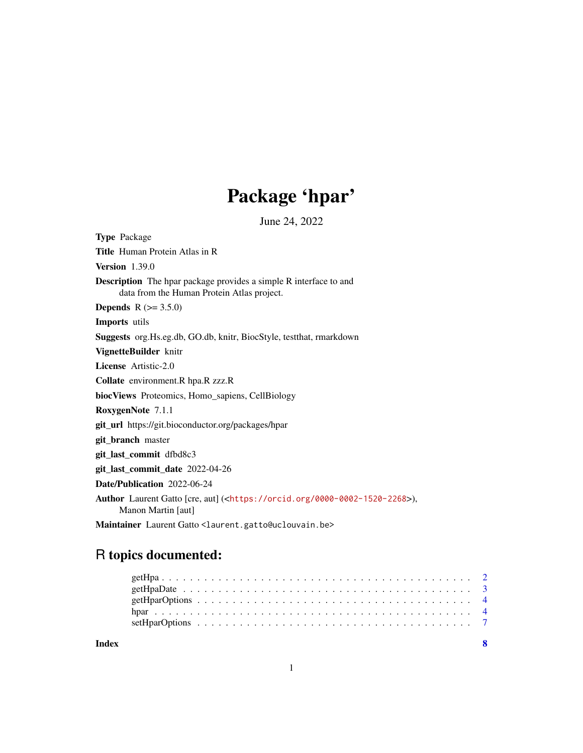## Package 'hpar'

June 24, 2022

<span id="page-0-0"></span>Type Package Title Human Protein Atlas in R Version 1.39.0 Description The hpar package provides a simple R interface to and data from the Human Protein Atlas project. **Depends**  $R$  ( $> = 3.5.0$ ) Imports utils Suggests org.Hs.eg.db, GO.db, knitr, BiocStyle, testthat, rmarkdown VignetteBuilder knitr License Artistic-2.0 Collate environment.R hpa.R zzz.R biocViews Proteomics, Homo\_sapiens, CellBiology RoxygenNote 7.1.1 git\_url https://git.bioconductor.org/packages/hpar git\_branch master git\_last\_commit dfbd8c3 git\_last\_commit\_date 2022-04-26 Date/Publication 2022-06-24 Author Laurent Gatto [cre, aut] (<<https://orcid.org/0000-0002-1520-2268>>), Manon Martin [aut] Maintainer Laurent Gatto <laurent.gatto@uclouvain.be>

### R topics documented:

| Index |  |  |  |  |  |  |  |  |  |  |  |  |  |  |  |  |  |  |  |
|-------|--|--|--|--|--|--|--|--|--|--|--|--|--|--|--|--|--|--|--|
|       |  |  |  |  |  |  |  |  |  |  |  |  |  |  |  |  |  |  |  |
|       |  |  |  |  |  |  |  |  |  |  |  |  |  |  |  |  |  |  |  |
|       |  |  |  |  |  |  |  |  |  |  |  |  |  |  |  |  |  |  |  |
|       |  |  |  |  |  |  |  |  |  |  |  |  |  |  |  |  |  |  |  |
|       |  |  |  |  |  |  |  |  |  |  |  |  |  |  |  |  |  |  |  |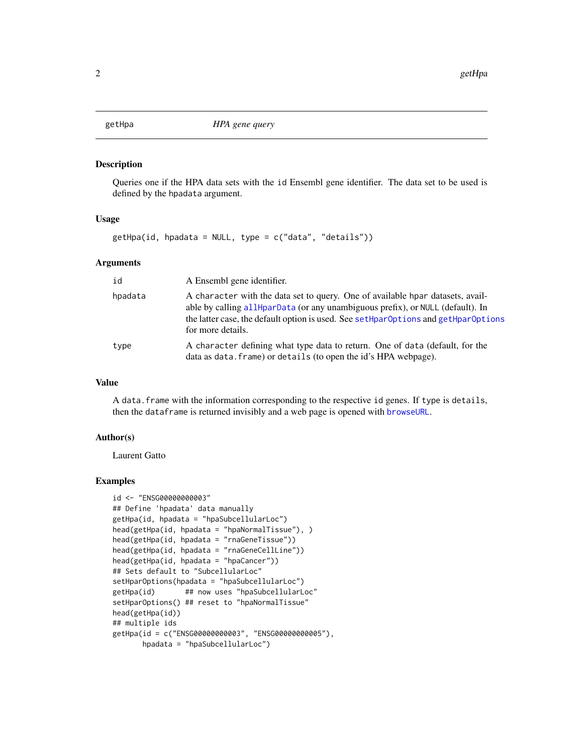<span id="page-1-1"></span><span id="page-1-0"></span>

#### Description

Queries one if the HPA data sets with the id Ensembl gene identifier. The data set to be used is defined by the hpadata argument.

#### Usage

getHpa(id, hpadata = NULL, type = c("data", "details"))

#### Arguments

| id      | A Ensembl gene identifier.                                                                                                                                                                                                                                                   |
|---------|------------------------------------------------------------------------------------------------------------------------------------------------------------------------------------------------------------------------------------------------------------------------------|
| hpadata | A character with the data set to query. One of available hpar datasets, avail-<br>able by calling all HparData (or any unambiguous prefix), or NULL (default). In<br>the latter case, the default option is used. See setHparOptions and getHparOptions<br>for more details. |
| type    | A character defining what type data to return. One of data (default, for the<br>data as data. frame) or details (to open the id's HPA webpage).                                                                                                                              |

#### Value

A data.frame with the information corresponding to the respective id genes. If type is details, then the dataframe is returned invisibly and a web page is opened with [browseURL](#page-0-0).

#### Author(s)

Laurent Gatto

#### Examples

```
id <- "ENSG00000000003"
## Define 'hpadata' data manually
getHpa(id, hpadata = "hpaSubcellularLoc")
head(getHpa(id, hpadata = "hpaNormalTissue"), )
head(getHpa(id, hpadata = "rnaGeneTissue"))
head(getHpa(id, hpadata = "rnaGeneCellLine"))
head(getHpa(id, hpadata = "hpaCancer"))
## Sets default to "SubcellularLoc"
setHparOptions(hpadata = "hpaSubcellularLoc")
getHpa(id) ## now uses "hpaSubcellularLoc"
setHparOptions() ## reset to "hpaNormalTissue"
head(getHpa(id))
## multiple ids
getHpa(id = c("ENSG00000000003", "ENSG00000000005"),
       hpadata = "hpaSubcellularLoc")
```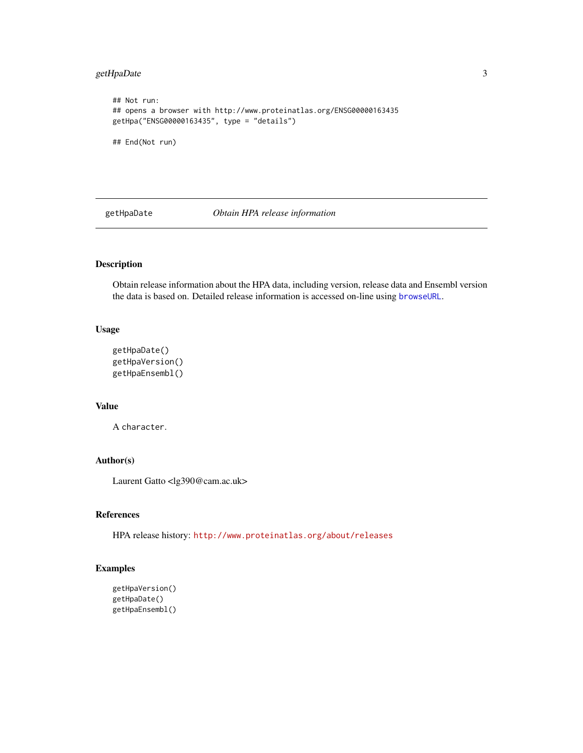#### <span id="page-2-0"></span>getHpaDate 3

```
## Not run:
## opens a browser with http://www.proteinatlas.org/ENSG00000163435
getHpa("ENSG00000163435", type = "details")
## End(Not run)
```
<span id="page-2-1"></span>getHpaDate *Obtain HPA release information*

#### Description

Obtain release information about the HPA data, including version, release data and Ensembl version the data is based on. Detailed release information is accessed on-line using [browseURL](#page-0-0).

#### Usage

```
getHpaDate()
getHpaVersion()
getHpaEnsembl()
```
#### Value

A character.

#### Author(s)

Laurent Gatto <lg390@cam.ac.uk>

#### References

HPA release history: <http://www.proteinatlas.org/about/releases>

#### Examples

```
getHpaVersion()
getHpaDate()
getHpaEnsembl()
```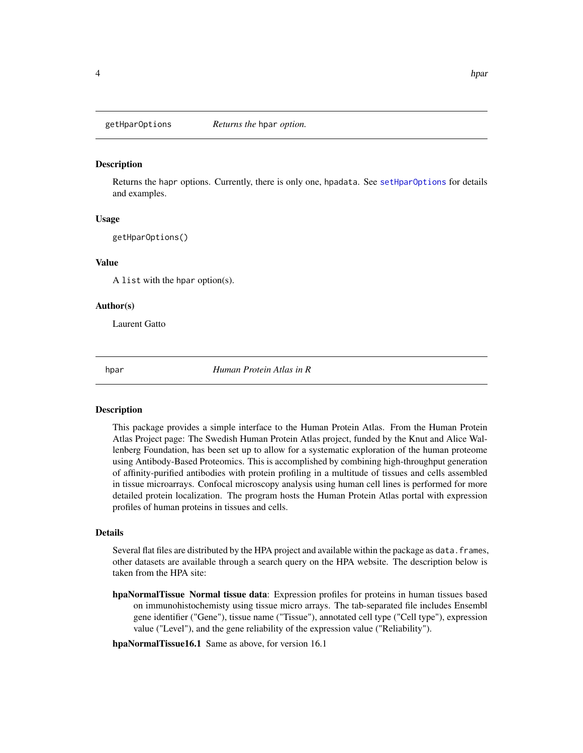<span id="page-3-2"></span><span id="page-3-0"></span>

#### **Description**

Returns the hapr options. Currently, there is only one, hpadata. See [setHparOptions](#page-6-1) for details and examples.

#### Usage

getHparOptions()

#### Value

A list with the hpar option(s).

#### Author(s)

Laurent Gatto

hpar *Human Protein Atlas in R*

#### <span id="page-3-1"></span>Description

This package provides a simple interface to the Human Protein Atlas. From the Human Protein Atlas Project page: The Swedish Human Protein Atlas project, funded by the Knut and Alice Wallenberg Foundation, has been set up to allow for a systematic exploration of the human proteome using Antibody-Based Proteomics. This is accomplished by combining high-throughput generation of affinity-purified antibodies with protein profiling in a multitude of tissues and cells assembled in tissue microarrays. Confocal microscopy analysis using human cell lines is performed for more detailed protein localization. The program hosts the Human Protein Atlas portal with expression profiles of human proteins in tissues and cells.

#### Details

Several flat files are distributed by the HPA project and available within the package as data. frames, other datasets are available through a search query on the HPA website. The description below is taken from the HPA site:

hpaNormalTissue Normal tissue data: Expression profiles for proteins in human tissues based on immunohistochemisty using tissue micro arrays. The tab-separated file includes Ensembl gene identifier ("Gene"), tissue name ("Tissue"), annotated cell type ("Cell type"), expression value ("Level"), and the gene reliability of the expression value ("Reliability").

hpaNormalTissue16.1 Same as above, for version 16.1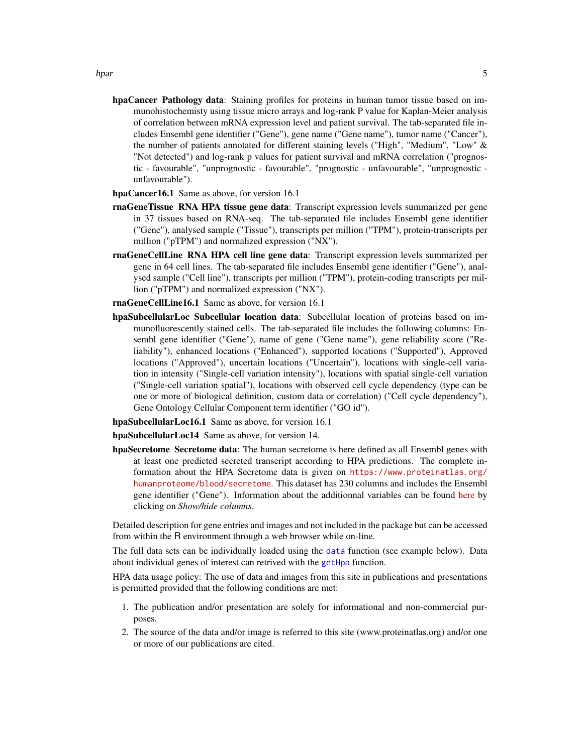- <span id="page-4-0"></span>hpaCancer Pathology data: Staining profiles for proteins in human tumor tissue based on immunohistochemisty using tissue micro arrays and log-rank P value for Kaplan-Meier analysis of correlation between mRNA expression level and patient survival. The tab-separated file includes Ensembl gene identifier ("Gene"), gene name ("Gene name"), tumor name ("Cancer"), the number of patients annotated for different staining levels ("High", "Medium", "Low" & "Not detected") and log-rank p values for patient survival and mRNA correlation ("prognostic - favourable", "unprognostic - favourable", "prognostic - unfavourable", "unprognostic unfavourable").
- hpaCancer16.1 Same as above, for version 16.1
- rnaGeneTissue RNA HPA tissue gene data: Transcript expression levels summarized per gene in 37 tissues based on RNA-seq. The tab-separated file includes Ensembl gene identifier ("Gene"), analysed sample ("Tissue"), transcripts per million ("TPM"), protein-transcripts per million ("pTPM") and normalized expression ("NX").
- rnaGeneCellLine RNA HPA cell line gene data: Transcript expression levels summarized per gene in 64 cell lines. The tab-separated file includes Ensembl gene identifier ("Gene"), analysed sample ("Cell line"), transcripts per million ("TPM"), protein-coding transcripts per million ("pTPM") and normalized expression ("NX").
- rnaGeneCellLine16.1 Same as above, for version 16.1
- hpaSubcellularLoc Subcellular location data: Subcellular location of proteins based on immunofluorescently stained cells. The tab-separated file includes the following columns: Ensembl gene identifier ("Gene"), name of gene ("Gene name"), gene reliability score ("Reliability"), enhanced locations ("Enhanced"), supported locations ("Supported"), Approved locations ("Approved"), uncertain locations ("Uncertain"), locations with single-cell variation in intensity ("Single-cell variation intensity"), locations with spatial single-cell variation ("Single-cell variation spatial"), locations with observed cell cycle dependency (type can be one or more of biological definition, custom data or correlation) ("Cell cycle dependency"), Gene Ontology Cellular Component term identifier ("GO id").

hpaSubcellularLoc16.1 Same as above, for version 16.1

hpaSubcellularLoc14 Same as above, for version 14.

hpaSecretome Secretome data: The human secretome is here defined as all Ensembl genes with at least one predicted secreted transcript according to HPA predictions. The complete information about the HPA Secretome data is given on [https://www.proteinatlas.org/](https://www.proteinatlas.org/humanproteome/blood/secretome) [humanproteome/blood/secretome](https://www.proteinatlas.org/humanproteome/blood/secretome). This dataset has 230 columns and includes the Ensembl gene identifier ("Gene"). Information about the additionnal variables can be found [here](https://www.proteinatlas.org/search) by clicking on *Show/hide columns*.

Detailed description for gene entries and images and not included in the package but can be accessed from within the R environment through a web browser while on-line.

The full data sets can be individually loaded using the [data](#page-0-0) function (see example below). Data about individual genes of interest can retrived with the [getHpa](#page-1-1) function.

HPA data usage policy: The use of data and images from this site in publications and presentations is permitted provided that the following conditions are met:

- 1. The publication and/or presentation are solely for informational and non-commercial purposes.
- 2. The source of the data and/or image is referred to this site (www.proteinatlas.org) and/or one or more of our publications are cited.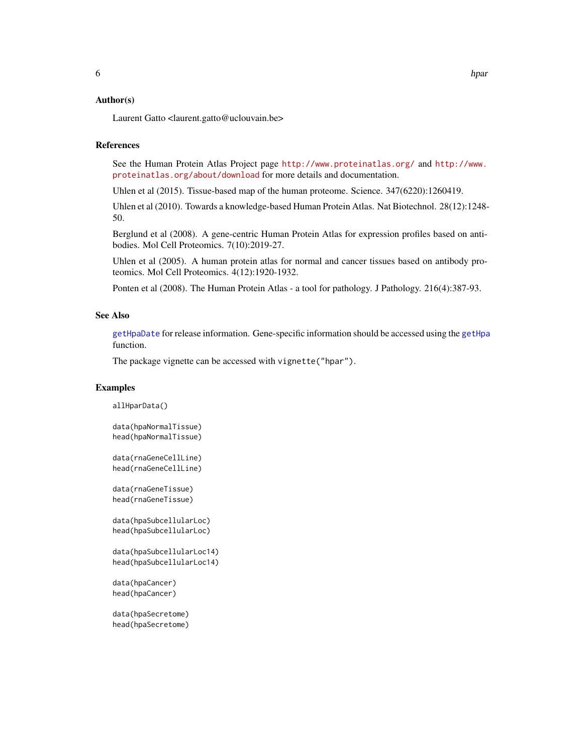#### <span id="page-5-0"></span>Author(s)

Laurent Gatto <laurent.gatto@uclouvain.be>

#### References

See the Human Protein Atlas Project page <http://www.proteinatlas.org/> and [http://www.](http://www.proteinatlas.org/about/download) [proteinatlas.org/about/download](http://www.proteinatlas.org/about/download) for more details and documentation.

Uhlen et al (2015). Tissue-based map of the human proteome. Science. 347(6220):1260419.

Uhlen et al (2010). Towards a knowledge-based Human Protein Atlas. Nat Biotechnol. 28(12):1248- 50.

Berglund et al (2008). A gene-centric Human Protein Atlas for expression profiles based on antibodies. Mol Cell Proteomics. 7(10):2019-27.

Uhlen et al (2005). A human protein atlas for normal and cancer tissues based on antibody proteomics. Mol Cell Proteomics. 4(12):1920-1932.

Ponten et al (2008). The Human Protein Atlas - a tool for pathology. J Pathology. 216(4):387-93.

#### See Also

[getHpaDate](#page-2-1) for release information. Gene-specific information should be accessed using the [getHpa](#page-1-1) function.

The package vignette can be accessed with vignette("hpar").

#### Examples

allHparData()

data(hpaNormalTissue) head(hpaNormalTissue)

data(rnaGeneCellLine) head(rnaGeneCellLine)

data(rnaGeneTissue) head(rnaGeneTissue)

```
data(hpaSubcellularLoc)
head(hpaSubcellularLoc)
```

```
data(hpaSubcellularLoc14)
head(hpaSubcellularLoc14)
```

```
data(hpaCancer)
head(hpaCancer)
```
data(hpaSecretome) head(hpaSecretome)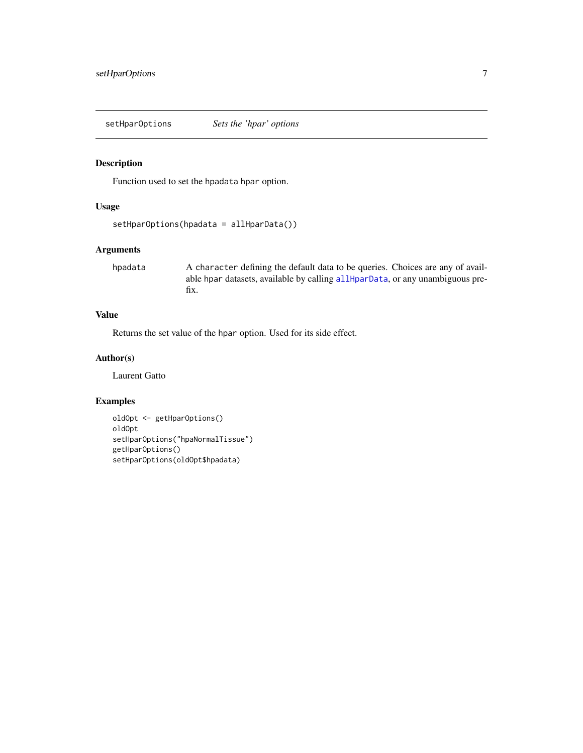<span id="page-6-1"></span><span id="page-6-0"></span>setHparOptions *Sets the 'hpar' options*

#### Description

Function used to set the hpadata hpar option.

#### Usage

```
setHparOptions(hpadata = allHparData())
```
#### Arguments

hpadata A character defining the default data to be queries. Choices are any of available hpar datasets, available by calling [allHparData](#page-3-1), or any unambiguous prefix.

#### Value

Returns the set value of the hpar option. Used for its side effect.

#### Author(s)

Laurent Gatto

#### Examples

```
oldOpt <- getHparOptions()
oldOpt
setHparOptions("hpaNormalTissue")
getHparOptions()
setHparOptions(oldOpt$hpadata)
```